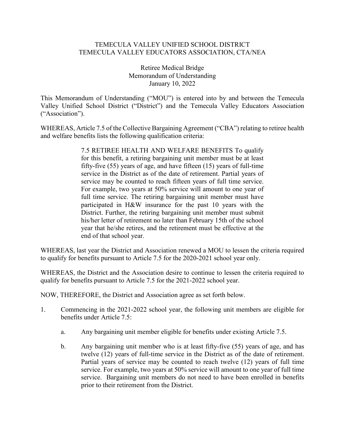## TEMECULA VALLEY UNIFIED SCHOOL DISTRICT TEMECULA VALLEY EDUCATORS ASSOCIATION, CTA/NEA

Retiree Medical Bridge Memorandum of Understanding January 10, 2022

This Memorandum of Understanding ("MOU") is entered into by and between the Temecula Valley Unified School District ("District") and the Temecula Valley Educators Association ("Association").

WHEREAS, Article 7.5 of the Collective Bargaining Agreement ("CBA") relating to retiree health and welfare benefits lists the following qualification criteria:

> 7.5 RETIREE HEALTH AND WELFARE BENEFITS To qualify for this benefit, a retiring bargaining unit member must be at least fifty-five (55) years of age, and have fifteen (15) years of full-time service in the District as of the date of retirement. Partial years of service may be counted to reach fifteen years of full time service. For example, two years at 50% service will amount to one year of full time service. The retiring bargaining unit member must have participated in H&W insurance for the past 10 years with the District. Further, the retiring bargaining unit member must submit his/her letter of retirement no later than February 15th of the school year that he/she retires, and the retirement must be effective at the end of that school year.

WHEREAS, last year the District and Association renewed a MOU to lessen the criteria required to qualify for benefits pursuant to Article 7.5 for the 2020-2021 school year only.

WHEREAS, the District and the Association desire to continue to lessen the criteria required to qualify for benefits pursuant to Article 7.5 for the 2021-2022 school year.

NOW, THEREFORE, the District and Association agree as set forth below.

- 1. Commencing in the 2021-2022 school year, the following unit members are eligible for benefits under Article 7.5:
	- a. Any bargaining unit member eligible for benefits under existing Article 7.5.
	- b. Any bargaining unit member who is at least fifty-five (55) years of age, and has twelve (12) years of full-time service in the District as of the date of retirement. Partial years of service may be counted to reach twelve (12) years of full time service. For example, two years at 50% service will amount to one year of full time service. Bargaining unit members do not need to have been enrolled in benefits prior to their retirement from the District.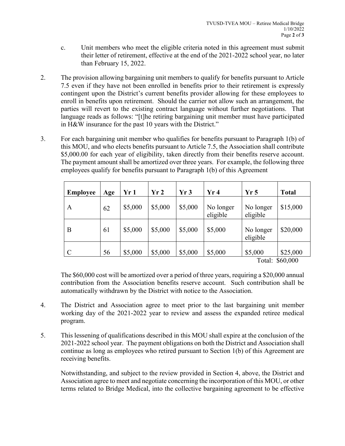- c. Unit members who meet the eligible criteria noted in this agreement must submit their letter of retirement, effective at the end of the 2021-2022 school year, no later than February 15, 2022.
- 2. The provision allowing bargaining unit members to qualify for benefits pursuant to Article 7.5 even if they have not been enrolled in benefits prior to their retirement is expressly contingent upon the District's current benefits provider allowing for these employees to enroll in benefits upon retirement. Should the carrier not allow such an arrangement, the parties will revert to the existing contract language without further negotiations. That language reads as follows: "[t]he retiring bargaining unit member must have participated in H&W insurance for the past 10 years with the District."
- 3. For each bargaining unit member who qualifies for benefits pursuant to Paragraph 1(b) of this MOU, and who elects benefits pursuant to Article 7.5, the Association shall contribute \$5,000.00 for each year of eligibility, taken directly from their benefits reserve account. The payment amount shall be amortized over three years. For example, the following three employees qualify for benefits pursuant to Paragraph 1(b) of this Agreement

| <b>Employee</b> | Age | Yr 1    | Yr2     | Yr3     | Yr4                   | Yr <sub>5</sub>                      | <b>Total</b>                                        |
|-----------------|-----|---------|---------|---------|-----------------------|--------------------------------------|-----------------------------------------------------|
| A               | 62  | \$5,000 | \$5,000 | \$5,000 | No longer<br>eligible | No longer<br>eligible                | \$15,000                                            |
| B               | 61  | \$5,000 | \$5,000 | \$5,000 | \$5,000               | No longer<br>eligible                | \$20,000                                            |
| $\mathcal{C}$   | 56  | \$5,000 | \$5,000 | \$5,000 | \$5,000               | \$5,000<br>$\mathbf{m}$ $\mathbf{1}$ | \$25,000<br>$\bigcap$ $\bigcap$ $\bigcap$ $\bigcap$ |

Total: \$60,000

The \$60,000 cost will be amortized over a period of three years, requiring a \$20,000 annual contribution from the Association benefits reserve account. Such contribution shall be automatically withdrawn by the District with notice to the Association.

- 4. The District and Association agree to meet prior to the last bargaining unit member working day of the 2021-2022 year to review and assess the expanded retiree medical program.
- 5. This lessening of qualifications described in this MOU shall expire at the conclusion of the 2021-2022 school year. The payment obligations on both the District and Association shall continue as long as employees who retired pursuant to Section 1(b) of this Agreement are receiving benefits.

Notwithstanding, and subject to the review provided in Section 4, above, the District and Association agree to meet and negotiate concerning the incorporation of this MOU, or other terms related to Bridge Medical, into the collective bargaining agreement to be effective